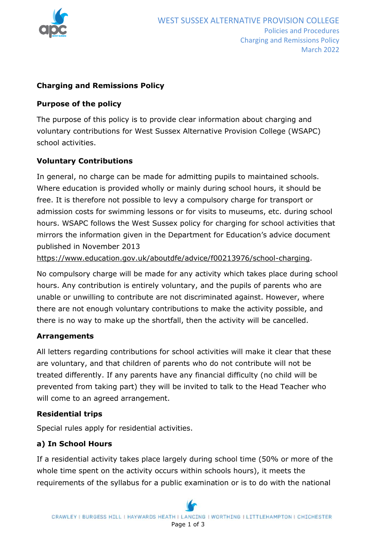

### **Charging and Remissions Policy**

### **Purpose of the policy**

The purpose of this policy is to provide clear information about charging and voluntary contributions for West Sussex Alternative Provision College (WSAPC) school activities.

## **Voluntary Contributions**

In general, no charge can be made for admitting pupils to maintained schools. Where education is provided wholly or mainly during school hours, it should be free. It is therefore not possible to levy a compulsory charge for transport or admission costs for swimming lessons or for visits to museums, etc. during school hours. WSAPC follows the West Sussex policy for charging for school activities that mirrors the information given in the Department for Education's advice document published in November 2013

[https://www.education.gov.uk/aboutdfe/advice/f00213976/school-charging.](https://www.education.gov.uk/aboutdfe/advice/f00213976/school-charging)

No compulsory charge will be made for any activity which takes place during school hours. Any contribution is entirely voluntary, and the pupils of parents who are unable or unwilling to contribute are not discriminated against. However, where there are not enough voluntary contributions to make the activity possible, and there is no way to make up the shortfall, then the activity will be cancelled.

#### **Arrangements**

All letters regarding contributions for school activities will make it clear that these are voluntary, and that children of parents who do not contribute will not be treated differently. If any parents have any financial difficulty (no child will be prevented from taking part) they will be invited to talk to the Head Teacher who will come to an agreed arrangement.

#### **Residential trips**

Special rules apply for residential activities.

## **a) In School Hours**

If a residential activity takes place largely during school time (50% or more of the whole time spent on the activity occurs within schools hours), it meets the requirements of the syllabus for a public examination or is to do with the national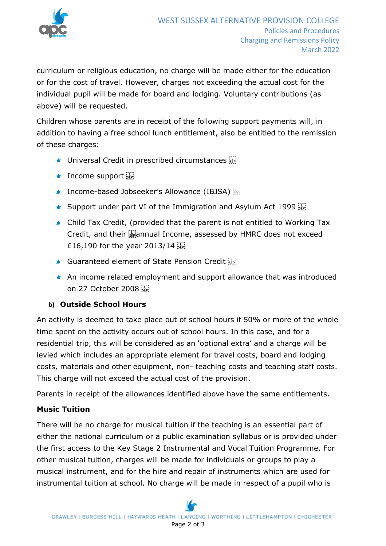

curriculum or religious education, no charge will be made either for the education or for the cost of travel. However, charges not exceeding the actual cost for the individual pupil will be made for board and lodging. Voluntary contributions (as above) will be requested.

Children whose parents are in receipt of the following support payments will, in addition to having a free school lunch entitlement, also be entitled to the remission of these charges:

- $\blacktriangleright$  Universal Credit in prescribed circumstances  $\frac{1}{100}$
- $\mathbf{I}$  Income support  $\mathbb{E}$
- **Income-based Jobseeker's Allowance (IBJSA)**
- **Support under part VI of the Immigration and Asylum Act 1999**
- Child Tax Credit, (provided that the parent is not entitled to Working Tax Credit, and their  $\frac{1}{2}$  annual Income, assessed by HMRC does not exceed £16,190 for the year 2013/14
- Guaranteed element of State Pension Credit
- An income related employment and support allowance that was introduced on 27 October 2008

## **b) Outside School Hours**

An activity is deemed to take place out of school hours if 50% or more of the whole time spent on the activity occurs out of school hours. In this case, and for a residential trip, this will be considered as an 'optional extra' and a charge will be levied which includes an appropriate element for travel costs, board and lodging costs, materials and other equipment, non- teaching costs and teaching staff costs. This charge will not exceed the actual cost of the provision.

Parents in receipt of the allowances identified above have the same entitlements.

## **Music Tuition**

There will be no charge for musical tuition if the teaching is an essential part of either the national curriculum or a public examination syllabus or is provided under the first access to the Key Stage 2 Instrumental and Vocal Tuition Programme. For other musical tuition, charges will be made for individuals or groups to play a musical instrument, and for the hire and repair of instruments which are used for instrumental tuition at school. No charge will be made in respect of a pupil who is